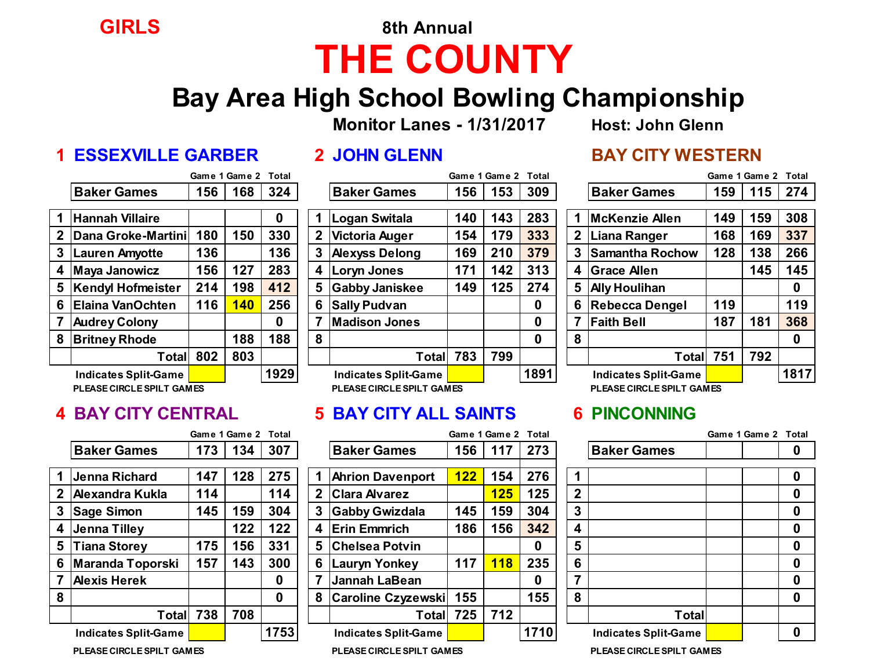# **GIRLS 8th Annual THE COUNTY**

## **Bay Area High School Bowling Championship**

**Monitor Lanes - 1/31/2017 Host: John Glenn**

### **1 ESSEXVILLE GARBER 2 JOHN GLENN BAY CITY WESTERN**

|                         |                          |     | Game 1 Game 2 | <b>Total</b> |
|-------------------------|--------------------------|-----|---------------|--------------|
|                         | <b>Baker Games</b>       | 156 | 168           | 324          |
| -1                      | <b>Hannah Villaire</b>   |     |               | 0            |
| $\overline{2}$          | Dana Groke-Martini       | 180 | 150           | 330          |
| $\mathbf{3}$            | <b>Lauren Amyotte</b>    | 136 |               | 136          |
| $\overline{\mathbf{4}}$ | <b>Maya Janowicz</b>     | 156 | 127           | 283          |
| 5                       | <b>Kendyl Hofmeister</b> | 214 | 198           | 412          |
| 6                       | Elaina VanOchten         | 116 | <b>140</b>    | 256          |
| $\overline{7}$          | <b>Audrey Colony</b>     |     |               | 0            |
| 8                       | <b>Britney Rhode</b>     |     | 188           | 188          |
|                         | <b>Total</b>             | 802 | 803           |              |
|                         | Indicates Split-Game     |     |               | 1929         |

**PLEASE CIRCLE SPILT GAMES PLEASE CIRCLE SPILT GAMES PLEASE CIRCLE SPILT GAMES**

|    |                             |     | Game 1 Game 2 Total |      |                             |            | Game 1 Game 2 Total |      |                |                             | Game 1 Game 2 Tot |   |
|----|-----------------------------|-----|---------------------|------|-----------------------------|------------|---------------------|------|----------------|-----------------------------|-------------------|---|
|    | <b>Baker Games</b>          | 173 | 134                 | 307  | <b>Baker Games</b>          | 156        | 117                 | 273  |                | <b>Baker Games</b>          |                   | 0 |
|    |                             |     |                     |      |                             |            |                     |      |                |                             |                   |   |
|    | <b>Jenna Richard</b>        | 147 | 128                 | 275  | <b>Ahrion Davenport</b>     | <b>122</b> | 154                 | 276  |                |                             |                   | 0 |
| 2  | Alexandra Kukla             | 114 |                     | 114  | 2 Clara Alvarez             |            | 125                 | 125  | $\overline{2}$ |                             |                   | 0 |
| 3. | <b>Sage Simon</b>           | 145 | 159                 | 304  | 3 Gabby Gwizdala            | 145        | 159                 | 304  | 3              |                             |                   | 0 |
| 4  | <b>Jenna Tilley</b>         |     | 122                 | 122  | 4 Erin Emmrich              | 186        | 156                 | 342  | 4              |                             |                   | 0 |
| 5  | <b>Tiana Storey</b>         | 175 | 156                 | 331  | 5 Chelsea Potvin            |            |                     | 0    | 5              |                             |                   | 0 |
| 6  | Maranda Toporski            | 157 | 143                 | 300  | 6 Lauryn Yonkey             | 117        | <b>118</b>          | 235  | 6              |                             |                   | 0 |
|    | <b>Alexis Herek</b>         |     |                     | 0    | 7 Jannah LaBean             |            |                     | 0    |                |                             |                   | 0 |
| 8  |                             |     |                     | 0    | 8 Caroline Czyzewski        | 155        |                     | 155  | 8              |                             |                   | 0 |
|    | Total                       | 738 | 708                 |      | Totall                      | 725        | 712                 |      |                | <b>Total</b>                |                   |   |
|    | <b>Indicates Split-Game</b> |     |                     | 1753 | <b>Indicates Split-Game</b> |            |                     | 1710 |                | <b>Indicates Split-Game</b> |                   | 0 |

|                             |     | VANIV I VANIV 4 |      |                                                        |    |                             |     | vanit i vanit <i>L</i> |      |             |                             |     | <b>JUILLE I JUILLE 4</b> | ושיטו |
|-----------------------------|-----|-----------------|------|--------------------------------------------------------|----|-----------------------------|-----|------------------------|------|-------------|-----------------------------|-----|--------------------------|-------|
| <b>Baker Games</b>          | 156 | 168             | 324  |                                                        |    | <b>Baker Games</b>          | 156 | 153                    | 309  |             | <b>Baker Games</b>          | 159 | 115                      | 274   |
|                             |     |                 |      |                                                        |    |                             |     |                        |      |             |                             |     |                          |       |
| <b>Hannah Villaire</b>      |     |                 | 0    |                                                        |    | Logan Switala               | 140 | 143                    | 283  |             | <b>McKenzie Allen</b>       | 149 | 159                      | 308   |
| 2 Dana Groke-Martini        | 180 | 150             | 330  |                                                        | 2  | <b>Victoria Auger</b>       | 154 | 179                    | 333  | $\mathbf 2$ | <b>Liana Ranger</b>         | 168 | 169                      | 337   |
| 3 Lauren Amyotte            | 136 |                 | 136  |                                                        | 3  | <b>Alexyss Delong</b>       | 169 | 210                    | 379  | 3           | <b>Samantha Rochow</b>      | 128 | 138                      | 266   |
| 4  Maya Janowicz            | 156 | 127             | 283  |                                                        |    | 4 Loryn Jones               | 171 | 142                    | 313  | 4           | <b>Grace Allen</b>          |     | 145                      | 145   |
| 5 Kendyl Hofmeister         | 214 | 198             | 412  |                                                        | 5. | <b>Gabby Janiskee</b>       | 149 | 125                    | 274  | 5           | <b>Ally Houlihan</b>        |     |                          | 0     |
| 6 Elaina VanOchten          | 116 | 140             | 256  |                                                        | 6  | <b>Sally Pudvan</b>         |     |                        | 0    | 6           | Rebecca Dengel              | 119 |                          | 119   |
| <b>Audrey Colony</b>        |     |                 | 0    |                                                        |    | <b>Madison Jones</b>        |     |                        | 0    |             | <b>Faith Bell</b>           | 187 | 181                      | 368   |
| 8 Britney Rhode             |     | 188             | 188  |                                                        | 8  |                             |     |                        | 0    | 8           |                             |     |                          | 0     |
| Total                       | 802 | 803             |      |                                                        |    | <b>Total</b>                | 783 | 799                    |      |             | Totall                      | 751 | 792                      |       |
| <b>Indicates Split-Game</b> |     |                 | 1929 |                                                        |    | <b>Indicates Split-Game</b> |     |                        | 1891 |             | <b>Indicates Split-Game</b> |     |                          | 1817  |
| PLEASE CIRCLE SPILT GAMES   |     |                 |      | PLEASE CIRCLE SPILT GAMES<br>PLEASE CIRCLE SPILT GAMES |    |                             |     |                        |      |             |                             |     |                          |       |

### **4 BAY CITY CENTRAL 5 BAY CITY ALL SAINTS 6 PINCONNING**

|                             |     | Game 1 Game 2 Total |      |                             |            | Game 1 Game 2 Total |      |                |                             | Game 1 Game 2 Tot |   |
|-----------------------------|-----|---------------------|------|-----------------------------|------------|---------------------|------|----------------|-----------------------------|-------------------|---|
| <b>Baker Games</b>          | 173 | 134                 | 307  | <b>Baker Games</b>          | 156        | 117                 | 273  |                | <b>Baker Games</b>          |                   | 0 |
| Jenna Richard               | 147 | 128                 | 275  | <b>Ahrion Davenport</b>     | <b>122</b> | 154                 | 276  |                |                             |                   | 0 |
| Alexandra Kukla             | 114 |                     | 114  | 2 Clara Alvarez             |            | 125                 | 125  | $\overline{2}$ |                             |                   | 0 |
| Sage Simon                  | 145 | 159                 | 304  | <b>Gabby Gwizdala</b>       | 145        | 159                 | 304  | $\mathbf{3}$   |                             |                   | 0 |
| Jenna Tilley                |     | 122                 | 122  | 4 Erin Emmrich              | 186        | 156                 | 342  | 4              |                             |                   | 0 |
| Tiana Storey                | 175 | <b>56</b>           | 331  | 5 Chelsea Potvin            |            |                     | 0    | 5              |                             |                   | 0 |
| Maranda Toporski            | 157 | 143                 | 300  | 6.<br>Lauryn Yonkey         | 117        | <b>118</b>          | 235  | 6              |                             |                   | 0 |
| Alexis Herek                |     |                     | 0    | <b>Jannah LaBean</b>        |            |                     | 0    |                |                             |                   | 0 |
|                             |     |                     | 0    | <b>Caroline Czyzewski</b>   | 155        |                     | 155  | 8              |                             |                   | 0 |
| Totall                      | 738 | 708                 |      | Totall                      | 725        | 712                 |      |                | <b>Total</b>                |                   |   |
| <b>Indicates Split-Game</b> |     |                     | 1753 | <b>Indicates Split-Game</b> |            |                     | 1710 |                | <b>Indicates Split-Game</b> |                   | 0 |

| Game 1 Game 2 |     | Total |              |                             | Game 1 Game 2<br>Total |     |      |  |   |                             |     | Game 1 Game 2 | Total    |
|---------------|-----|-------|--------------|-----------------------------|------------------------|-----|------|--|---|-----------------------------|-----|---------------|----------|
| 156           | 168 | 324   |              | <b>Baker Games</b>          | 156                    | 153 | 309  |  |   | <b>Baker Games</b>          | 159 | 115           | 274      |
|               |     |       |              |                             |                        |     |      |  |   |                             |     |               |          |
|               |     | 0     |              | Logan Switala               | 140                    | 143 | 283  |  |   | <b>McKenzie Allen</b>       | 149 | 159           | 308      |
| 180           | 150 | 330   | $\mathbf{2}$ | Victoria Auger              | 154                    | 179 | 333  |  | 2 | <b>Liana Ranger</b>         | 168 | 169           | 337      |
| 136           |     | 136   | 3            | <b>Alexyss Delong</b>       | 169                    | 210 | 379  |  | 3 | Samantha Rochow             | 128 | 138           | 266      |
| 156           | 127 | 283   | 4            | <b>Loryn Jones</b>          | 171                    | 142 | 313  |  | 4 | <b>Grace Allen</b>          |     | 145           | 145      |
| 214           | 198 | 412   | 5            | <b>Gabby Janiskee</b>       | 149                    | 125 | 274  |  | 5 | <b>Ally Houlihan</b>        |     |               | $\bf{0}$ |
| 116           | 140 | 256   | 6            | <b>Sally Pudvan</b>         |                        |     | 0    |  | 6 | <b>Rebecca Dengel</b>       | 119 |               | 119      |
|               |     | 0     | 7            | <b>Madison Jones</b>        |                        |     | 0    |  | 7 | <b>Faith Bell</b>           | 187 | 181           | 368      |
|               | 188 | 188   | 8            |                             |                        |     | 0    |  | 8 |                             |     |               | 0        |
| 802           | 803 |       |              | <b>Total</b>                | 783                    | 799 |      |  |   | <b>Total</b>                | 751 | 792           |          |
|               |     | 1929  |              | <b>Indicates Split-Game</b> |                        |     | 1891 |  |   | <b>Indicates Split-Game</b> |     |               | 1817     |
| IES           |     |       |              | PLEASE CIRCLE SPILT GAMES   |                        |     |      |  |   | PLEASE CIRCLE SPILT GAMES   |     |               |          |

|       | Game 1 Game 2 Total |      |   |                             |     | Game 1 Game 2 Total |      |                |                             | Game 1 Game 2 Total |          |
|-------|---------------------|------|---|-----------------------------|-----|---------------------|------|----------------|-----------------------------|---------------------|----------|
| 173   | 134                 | 307  |   | <b>Baker Games</b>          | 156 | 117                 | 273  |                | <b>Baker Games</b>          |                     | 0        |
|       |                     |      |   |                             |     |                     |      |                |                             |                     |          |
| 147   | 128                 | 275  | 1 | <b>Ahrion Davenport</b>     | 122 | 154                 | 276  | 1              |                             |                     | 0        |
| 114   |                     | 114  | 2 | <b>Clara Alvarez</b>        |     | 125                 | 125  | $\overline{2}$ |                             |                     | 0        |
| 145   | 159                 | 304  | 3 | <b>Gabby Gwizdala</b>       | 145 | 159                 | 304  | 3              |                             |                     | 0        |
|       | 122                 | 122  | 4 | <b>Erin Emmrich</b>         | 186 | 156                 | 342  | 4              |                             |                     | 0        |
| 175   | 156                 | 331  | 5 | <b>Chelsea Potvin</b>       |     |                     | 0    | 5              |                             |                     | 0        |
| 157   | 143                 | 300  | 6 | Lauryn Yonkey               | 117 | <b>118</b>          | 235  | 6              |                             |                     | 0        |
|       |                     | 0    | 7 | Jannah LaBean               |     |                     | O    | 7              |                             |                     | 0        |
|       |                     | 0    | 8 | <b>Caroline Czyzewski</b>   | 155 |                     | 155  | 8              |                             |                     | 0        |
| 738   | 708                 |      |   | Total                       | 725 | 712                 |      |                | <b>Total</b>                |                     |          |
|       |                     | 1753 |   | <b>Indicates Split-Game</b> |     |                     | 1710 |                | <b>Indicates Split-Game</b> |                     | $\bf{0}$ |
| I EO. |                     |      |   | DLEACE CIDCLE CDU T CAMEC   |     |                     |      |                | DLEACE CIDCLE COULT CAMEC   |                     |          |

**PLEASE CIRCLE SPILT GAMES PLEASE CIRCLE SPILT GAMES PLEASE CIRCLE SPILT GAMES**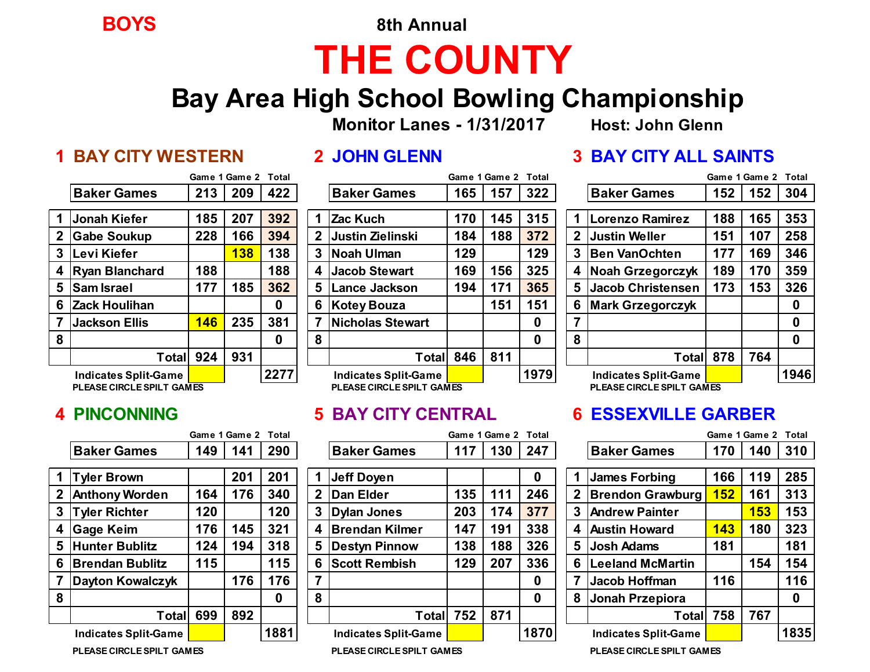**BOYS 8th Annual**

# **THE COUNTY**

## **Bay Area High School Bowling Championship**

**Monitor Lanes - 1/31/2017 Host: John Glenn**

|                         |                             |     | Game 1 Game 2 | Total |
|-------------------------|-----------------------------|-----|---------------|-------|
|                         | <b>Baker Games</b>          | 213 | 209           | 422   |
| $\overline{\mathbf{1}}$ | <b>Jonah Kiefer</b>         | 185 | 207           | 392   |
| $\mathbf{2}$            | <b>Gabe Soukup</b>          | 228 | 166           | 394   |
| 3                       | Levi Kiefer                 |     | <b>138</b>    | 138   |
| 4                       | <b>Ryan Blanchard</b>       | 188 |               | 188   |
| 5                       | <b>Sam Israel</b>           | 177 | 185           | 362   |
| 6                       | <b>Zack Houlihan</b>        |     |               | 0     |
| 7                       | <b>Jackson Ellis</b>        | 146 | 235           | 381   |
| 8                       |                             |     |               | 0     |
|                         | <b>Total</b>                | 924 | 931           |       |
|                         | <b>Indicates Split-Game</b> |     |               | 227'  |

**PLEASE CIRCLE SPILT GAMES PLEASE CIRCLE SPILT GAMES PLEASE CIRCLE SPILT GAMES**

|                |                             |     | Game 1 Game 2 Total |      |   |                             | Game 1 Game 2 Total |     |      |   |                             |            | Game 1 Game 2 Total |          |
|----------------|-----------------------------|-----|---------------------|------|---|-----------------------------|---------------------|-----|------|---|-----------------------------|------------|---------------------|----------|
|                | <b>Baker Games</b>          | 149 | 141                 | 290  |   | <b>Baker Games</b>          | 117                 | 130 | 247  |   | <b>Baker Games</b>          | 170        | 140                 | 310      |
|                |                             |     |                     |      |   |                             |                     |     |      |   |                             |            |                     |          |
|                | <b>Tyler Brown</b>          |     | 201                 | 201  |   | <b>Jeff Doyen</b>           |                     |     | 0    |   | <b>James Forbing</b>        | 166        | 119                 | 285      |
|                | 2   Anthony Worden          | 164 | 176                 | 340  | 2 | Dan Elder                   | 135                 | 111 | 246  |   | 2 Brendon Grawburg          | <b>152</b> | 161                 | 313      |
| 3 <sup>1</sup> | <b>Tyler Richter</b>        | 120 |                     | 120  | 3 | Dylan Jones                 | 203                 | 174 | 377  |   | <b>3 Andrew Painter</b>     |            | <b>153</b>          | 153      |
|                | 4 Gage Keim                 | 176 | 145                 | 321  | 4 | <b>Brendan Kilmer</b>       | 147                 | 191 | 338  |   | 4 Austin Howard             | 143        | 180                 | 323      |
|                | 5 Hunter Bublitz            | 124 | 194                 | 318  | 5 | <b>Destyn Pinnow</b>        | 138                 | 188 | 326  | 5 | <b>Josh Adams</b>           | 181        |                     | 181      |
|                | 6 Brendan Bublitz           | 115 |                     | 115  | 6 | <b>Scott Rembish</b>        | 129                 | 207 | 336  | 6 | <b>Leeland McMartin</b>     |            | 154                 | 154      |
|                | Dayton Kowalczyk            |     | 176                 | 176  | 7 |                             |                     |     | 0    |   | Jacob Hoffman               | 116        |                     | 116      |
| 8              |                             |     |                     | 0    | 8 |                             |                     |     | 0    | 8 | Jonah Przepiora             |            |                     | $\bf{0}$ |
|                | <b>Total</b>                | 699 | 892                 |      |   | Totall                      | 752                 | 871 |      |   | Totall                      | 758        | 767                 |          |
|                | <b>Indicates Split-Game</b> |     |                     | 1881 |   | <b>Indicates Split-Game</b> |                     |     | 1870 |   | <b>Indicates Split-Game</b> |            |                     | 183      |

|   |                             | Game 1 Game 2 Total |     |      |     |                             |     | Game 1 Game 2 Total |      |   |                             | Game 1 Game 2 |     | Total |
|---|-----------------------------|---------------------|-----|------|-----|-----------------------------|-----|---------------------|------|---|-----------------------------|---------------|-----|-------|
|   | <b>Baker Games</b>          | 213                 | 209 | 422  |     | <b>Baker Games</b>          | 165 | 157                 | 322  |   | <b>Baker Games</b>          | 152           | 152 | 304   |
|   |                             |                     |     |      |     |                             |     |                     |      |   |                             |               |     |       |
|   | <b>Jonah Kiefer</b>         | 185                 | 207 | 392  |     | Zac Kuch                    | 170 | 145                 | 315  |   | <b>ILorenzo Ramirez</b>     | 188           | 165 | 353   |
|   | 2 Gabe Soukup               | 228                 | 166 | 394  |     | 2 Justin Zielinski          | 184 | 188                 | 372  | 2 | <b>Justin Weller</b>        | 151           | 107 | 258   |
|   | 3  Levi Kiefer              |                     | 138 | 138  | 3   | Noah Ulman                  | 129 |                     | 129  | 3 | <b>Ben VanOchten</b>        | 177           | 169 | 346   |
|   | 4 Ryan Blanchard            | 188                 |     | 188  | 4 I | <b>Jacob Stewart</b>        | 169 | 156                 | 325  | 4 | Noah Grzegorczyk            | 189           | 170 | 359   |
|   | 5 Sam Israel                | 177                 | 185 | 362  | 5.  | <b>Lance Jackson</b>        | 194 | 171                 | 365  | 5 | Jacob Christensen           | 173           | 153 | 326   |
|   | 6 Zack Houlihan             |                     |     | 0    | 6   | Kotey Bouza                 |     | 151                 | 151  | 6 | <b>Mark Grzegorczyk</b>     |               |     | 0     |
|   | <b>Jackson Ellis</b>        | 146                 | 235 | 381  |     | <b>Nicholas Stewart</b>     |     |                     | 0    |   |                             |               |     | 0     |
| 8 |                             |                     |     | 0    | 8   |                             |     |                     | 0    | 8 |                             |               |     | 0     |
|   | Total∣                      | 924                 | 931 |      |     | Totall                      | 846 | 811                 |      |   | Total 878                   |               | 764 |       |
|   | <b>Indicates Split-Game</b> |                     |     | 2277 |     | <b>Indicates Split-Game</b> |     |                     | 1979 |   | <b>Indicates Split-Game</b> |               |     | 1946  |
|   | PLEASE CIRCLE SPILT GAMES   |                     |     |      |     | PLEASE CIRCLE SPILT GAMES   |     |                     |      |   | PLEASE CIRCLE SPILT GAMES   |               |     |       |

|                             |     | Game 1 Game 2 Total |          |   |                             |     | Game 1 Game 2 | Total |                |                             |     | Game 1 Game 2 | Total    |
|-----------------------------|-----|---------------------|----------|---|-----------------------------|-----|---------------|-------|----------------|-----------------------------|-----|---------------|----------|
| <b>Baker Games</b>          | 149 | 141                 | 290      |   | <b>Baker Games</b>          | 117 | 130           | 247   |                | <b>Baker Games</b>          | 170 | 140           | 310      |
|                             |     |                     |          |   |                             |     |               |       |                |                             |     |               |          |
| <b>Tyler Brown</b>          |     | 201                 | 201      |   | Jeff Doyen                  |     |               | 0     |                | James Forbing               | 166 | 119           | 285      |
| <b>Anthony Worden</b>       | 164 | 176                 | 340      |   | 2 Dan Elder                 | 135 | 111           | 246   | 2              | <b>Brendon Grawburg</b>     | 152 | 161           | 313      |
| <b>Tyler Richter</b>        | 120 |                     | 120      |   | 3 Dylan Jones               | 203 | 174           | 377   | 3              | <b>Andrew Painter</b>       |     | 153           | 153      |
| Gage Keim                   | 176 | 145                 | 321      |   | 4 Brendan Kilmer            | 147 | 191           | 338   | 4              | <b>Austin Howard</b>        | 143 | 180           | 323      |
| <b>Hunter Bublitz</b>       | 124 | 194                 | 318      |   | 5 Destyn Pinnow             | 138 | 188           | 326   | 5 <sup>5</sup> | <b>Josh Adams</b>           | 181 |               | 181      |
| <b>Brendan Bublitz</b>      | 115 |                     | 115      |   | 6 Scott Rembish             | 129 | 207           | 336   | 6              | <b>Leeland McMartin</b>     |     | 154           | 154      |
| Dayton Kowalczyk            |     | 176                 | 176      |   |                             |     |               | 0     |                | <b>Jacob Hoffman</b>        | 116 |               | 116      |
|                             |     |                     | $\bf{0}$ | 8 |                             |     |               | 0     | 8              | Jonah Przepiora             |     |               | $\bf{0}$ |
| <b>Total</b>                | 699 | 892                 |          |   | Total                       | 752 | 871           |       |                | Totall                      | 758 | 767           |          |
| <b>Indicates Split-Game</b> |     |                     | 1881     |   | <b>Indicates Split-Game</b> |     |               | 1870  |                | <b>Indicates Split-Game</b> |     |               | 183      |
|                             |     |                     |          |   |                             |     |               |       |                |                             |     |               |          |

### **1 BAY CITY WESTERN 2 JOHN GLENN 3 BAY CITY ALL SAINTS**

|                |                             |     | Game 1 Game 2 | Total |
|----------------|-----------------------------|-----|---------------|-------|
|                | <b>Baker Games</b>          | 152 | 152           | 304   |
|                |                             |     |               |       |
| 1              | Lorenzo Ramirez             | 188 | 165           | 353   |
| $\mathbf{2}$   | <b>Justin Weller</b>        | 151 | 107           | 258   |
| 3              | <b>Ben VanOchten</b>        | 177 | 169           | 346   |
| 4              | <b>Noah Grzegorczyk</b>     | 189 | 170           | 359   |
| 5              | <b>Jacob Christensen</b>    | 173 | 153           | 326   |
| 6              | <b>Mark Grzegorczyk</b>     |     |               | 0     |
| $\overline{7}$ |                             |     |               | 0     |
| 8              |                             |     |               | 0     |
|                | <b>Total</b>                | 878 | 764           |       |
|                | <b>Indicates Split-Game</b> |     |               | 1946  |
|                | PLEASE CIRCLE SPILT GAMES   |     |               |       |

### **4 PINCONNING 5 BAY CITY CENTRAL 6 ESSEXVILLE GARBER**

| Game 1 Game 2 Total         |     |     |      |              |                             |     | Game 1 Game 2 Total |      |   |                             | Game 1 Game 2 Total |            |          |
|-----------------------------|-----|-----|------|--------------|-----------------------------|-----|---------------------|------|---|-----------------------------|---------------------|------------|----------|
| Baker Games                 | 149 | 141 | 290  |              | <b>Baker Games</b>          | 117 | 130                 | 247  |   | <b>Baker Games</b>          | 170                 | 140        | 310      |
|                             |     |     |      |              |                             |     |                     |      |   |                             |                     |            |          |
| <b>Tyler Brown</b>          |     | 201 | 201  |              | Jeff Doyen                  |     |                     | 0    |   | James Forbing               | 166                 | 119        | 285      |
| <b>Anthony Worden</b>       | 164 | 176 | 340  | $\mathbf 2$  | <b>Dan Elder</b>            | 135 |                     | 246  | 2 | <b>Brendon Grawburg</b>     | 152                 | 161        | 313      |
| <b>Tyler Richter</b>        | 120 |     | 120  | $\mathbf{3}$ | Dylan Jones                 | 203 | 174                 | 377  | 3 | Andrew Painter              |                     | <b>153</b> | 153      |
| Gage Keim                   | 176 | 145 | 321  | 4            | <b>Brendan Kilmer</b>       | 147 | 191                 | 338  | 4 | Austin Howard               | 143                 | 180        | 323      |
| <b>Hunter Bublitz</b>       | 124 | 194 | 318  | 5            | <b>Destyn Pinnow</b>        | 138 | 188                 | 326  | 5 | <b>Josh Adams</b>           | 181                 |            | 181      |
| <b>Brendan Bublitz</b>      | 115 |     | 115  | 6            | <b>Scott Rembish</b>        | 129 | 207                 | 336  | 6 | Leeland McMartin            |                     | 154        | 154      |
| Dayton Kowalczyk            |     | 176 | 176  | 7            |                             |     |                     | 0    |   | Jacob Hoffman               | 116                 |            | 116      |
|                             |     |     | 0    | 8            |                             |     |                     | 0    | 8 | Jonah Przepiora             |                     |            | $\bf{0}$ |
| Total                       | 699 | 892 |      |              | Total                       | 752 | 871                 |      |   | Totall                      | 758                 | 767        |          |
| <b>Indicates Split-Game</b> |     |     | 1881 |              | <b>Indicates Split-Game</b> |     |                     | 1870 |   | <b>Indicates Split-Game</b> |                     |            | 1835     |

**PLEASE CIRCLE SPILT GAMES PLEASE CIRCLE SPILT GAMES PLEASE CIRCLE SPILT GAMES**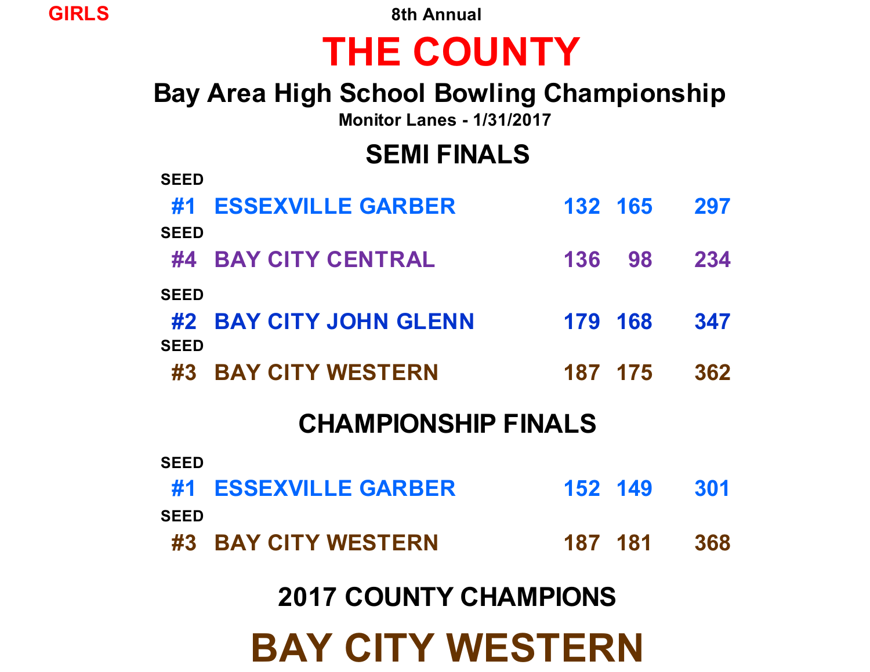**GIRLS 8th Annual**

# **THE COUNTY**

# **Bay Area High School Bowling Championship**

**Monitor Lanes - 1/31/2017**

# **SEMI FINALS**

| <b>SEED</b> |                              |         |         |     |
|-------------|------------------------------|---------|---------|-----|
| #1          | <b>ESSEXVILLE GARBER</b>     |         | 132 165 | 297 |
| <b>SEED</b> |                              |         |         |     |
| #4          | <b>BAY CITY CENTRAL</b>      | 136     | 98      | 234 |
| <b>SEED</b> |                              |         |         |     |
| #2          | <b>BAY CITY JOHN GLENN</b>   | 179     | 168     | 347 |
| <b>SEED</b> |                              |         |         |     |
| #3          | <b>BAY CITY WESTERN</b>      |         | 187 175 | 362 |
|             | <b>CHAMPIONSHIP FINALS</b>   |         |         |     |
|             |                              |         |         |     |
| <b>SEED</b> |                              |         |         |     |
| #1          | <b>ESSEXVILLE GARBER</b>     |         | 152 149 | 301 |
| <b>SEED</b> |                              |         |         |     |
|             |                              |         |         |     |
| #3          | <b>BAY CITY WESTERN</b>      | 187 181 |         | 368 |
|             | <b>2017 COUNTY CHAMPIONS</b> |         |         |     |

**BAY CITY WESTERN**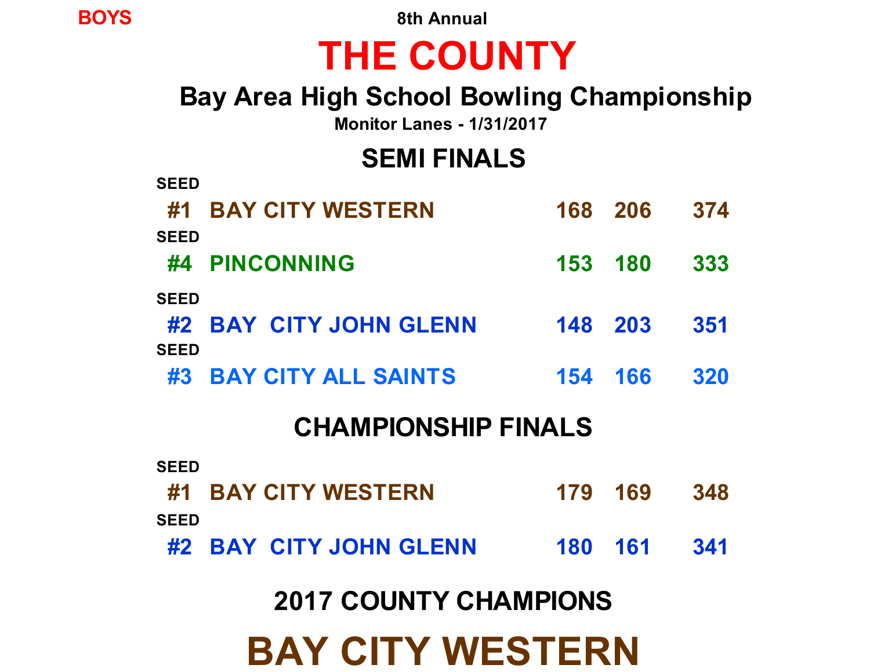**BAY CITY WESTERN**

# **2017 COUNTY CHAMPIONS**

| <u>CHAMERONOLIIE LINALO</u> |                        |  |         |      |  |
|-----------------------------|------------------------|--|---------|------|--|
| <b>SEED</b>                 |                        |  |         |      |  |
|                             | #1 BAY CITY WESTERN    |  | 179 169 | 348  |  |
| <b>SEED</b>                 |                        |  |         |      |  |
|                             | #2 BAY CITY JOHN GLENN |  | 180 161 | -341 |  |

## **CHAMPIONSHIP FINALS**

| <b>SEED</b>                | #4 PINCONNING          | 153 180 |         | 333  |
|----------------------------|------------------------|---------|---------|------|
| <b>SEED</b><br><b>SEED</b> | #2 BAY CITY JOHN GLENN | 148 203 |         | -351 |
|                            | #3 BAY CITY ALL SAINTS |         | 154 166 | 320  |

# **SEED**

**#1 BAY CITY WESTERN 168 206 374**

# **Bay Area High School Bowling Championship**

**Monitor Lanes - 1/31/2017**

**SEMI FINALS**

# **THE COUNTY**

**BOYS 8th Annual**

**SEED**